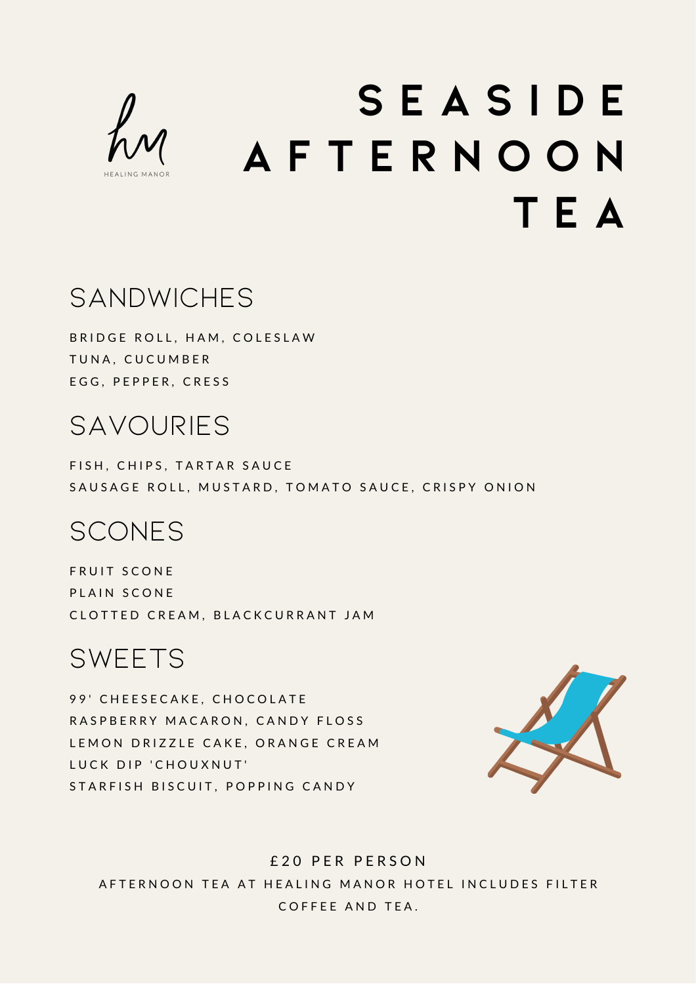

# **S E A S I D E A F T E R N O O N T E A**

#### **SANDWICHES**

BRIDGE ROLL, HAM, COLESLAW TUNA, CUCUMBER EGG, PEPPER, CRESS

#### **SAVOURIES**

FISH, CHIPS, TARTAR SAUCE SAUSAGE ROLL, MUSTARD, TOMATO SAUCE, CRISPY ONION

#### **SCONES**

FRUIT SCONE PLAIN SCONE CLOTTED CREAM, BLACKCURRANT JAM

#### **SWEETS**

99' CHEESECAKE, CHOCOLATE RASPBERRY MACARON, CANDY FLOSS LEMON DRIZZLE CAKE, ORANGE CREAM LUCK DIP 'CHOUXNUT' STARFISH BISCUIT, POPPING CANDY



£ 2 0 P E R P E R S O N AFTERNOON TEA AT HEALING MANOR HOTEL INCLUDES FILTER COFFFF AND TFA.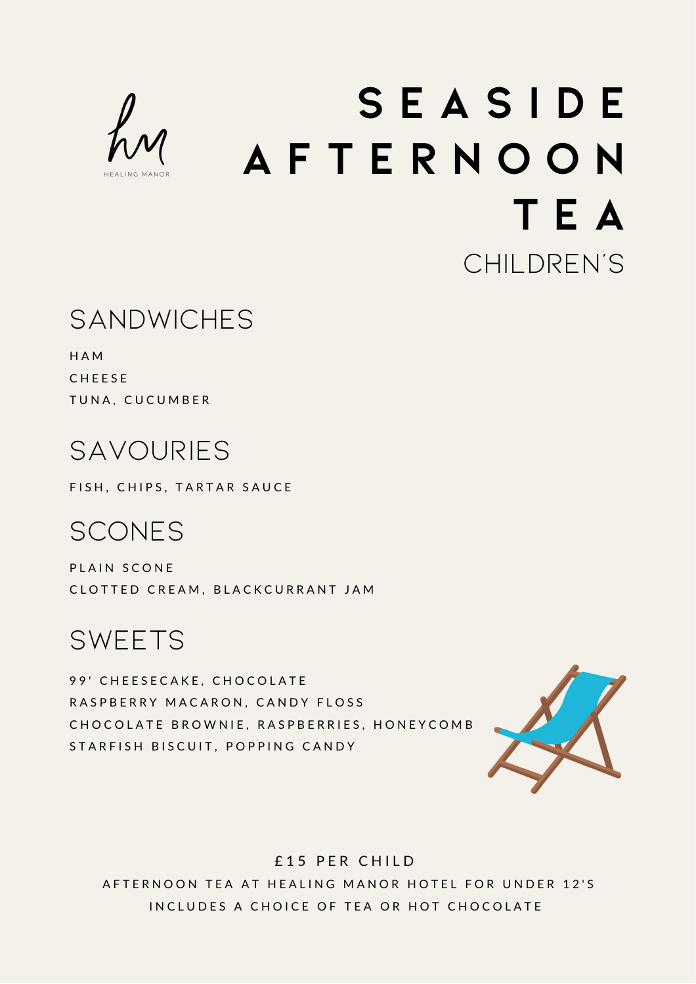

# **S E A S I D E A F T E R N O O N T E A** Children's

#### **SANDWICHES**

H A M **CHEESE** TUNA, CUCUMBER

# Savouries

FISH, CHIPS, TARTAR SAUCE

### Scones

PLAIN SCONE CLOTTED CREAM, BLACKCURRANT JAM

#### **SWEETS**

99' CHEESECAKE, CHOCOLATE RASPBERRY MACARON, CANDY FLOSS CHOCOLATE BROWNIE, RASPBERRIES, HONEYCOMB STARFISH BISCUIT, POPPING CANDY



#### £15 PER CHILD

AFTERNOON TEA AT HEALING MANOR HOTEL FOR UNDER 12'S IN CLUDES A CHOICE OF TEA OR HOT CHOCOLATE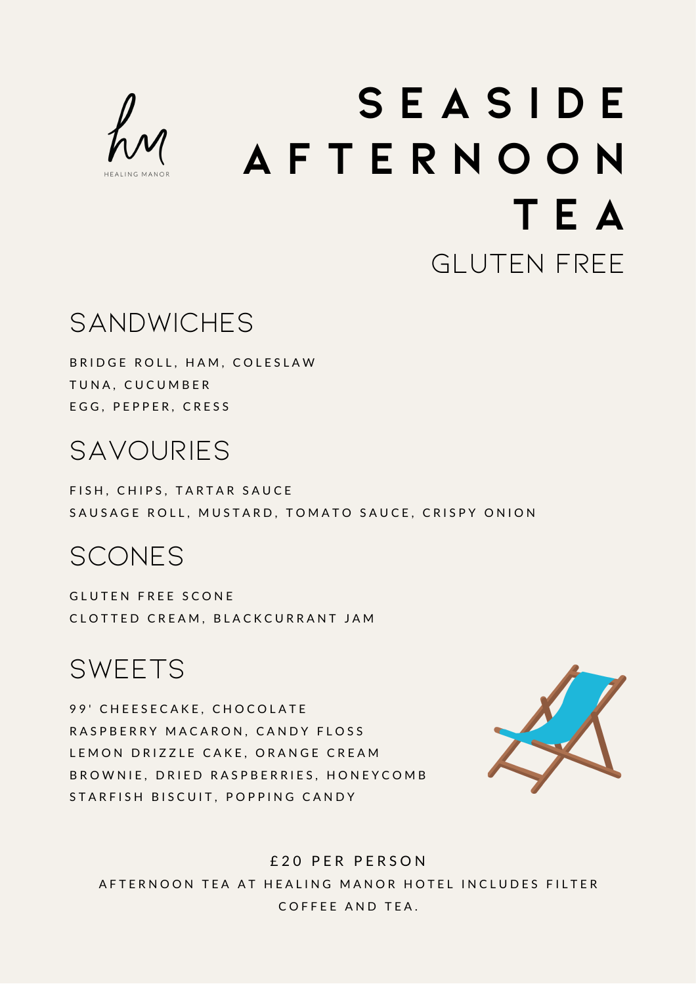

# **S E A S I D E A F T E R N O O N T E A** Gluten free

## **SANDWICHES**

BRIDGE ROLL, HAM, COLESLAW TUNA, CUCUMBER EGG, PEPPER, CRESS

## Savouries

FISH, CHIPS, TARTAR SAUCE SAUSAGE ROLL, MUSTARD, TOMATO SAUCE, CRISPY ONION

### Scones

GLUTEN FREE SCONE CLOTTED CREAM, BLACKCURRANT JAM

**SWEETS** 

99' CHEESECAKE, CHOCOLATE RASPBERRY MACARON, CANDY FLOSS LEMON DRIZZLE CAKE, ORANGE CREAM B R O W N I E , D R I E D R A S P B E R R I E S . H O N E Y C O M B STARFISH BISCUIT, POPPING CANDY



£ 2 0 P E R P E R S O N AFTERNOON TEA AT HEALING MANOR HOTEL INCLUDES FILTER COFFFF AND TFA.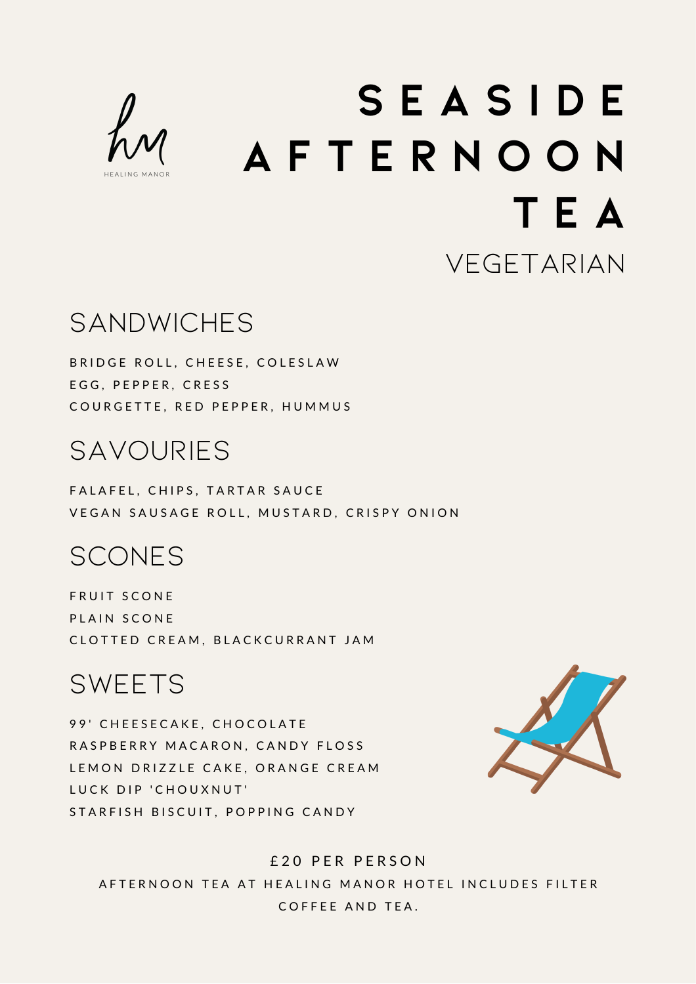

# **S E A S I D E A F T E R N O O N T E A VEGETARIAN**

## **SANDWICHES**

BRIDGE ROLL, CHEESE, COLESLAW EGG, PEPPER, CRESS COURGETTE, RED PEPPER, HUMMUS

## **SAVOURIES**

FALAFEL, CHIPS, TARTAR SAUCE VEGAN SAUSAGE ROLL, MUSTARD, CRISPY ONION

### **SCONES**

FRUIT SCONE PLAIN SCONE CLOTTED CREAM, BLACKCURRANT JAM

#### **SWEETS**

99' CHEESECAKE, CHOCOLATE RASPBERRY MACARON, CANDY FLOSS LEMON DRIZZLE CAKE, ORANGE CREAM LUCK DIP 'CHOUXNUT' STARFISH BISCUIT, POPPING CANDY



#### £ 2 0 P E R P E R S O N

AFTERNOON TEA AT HEALING MANOR HOTEL INCLUDES FILTER COFFFF AND TFA.